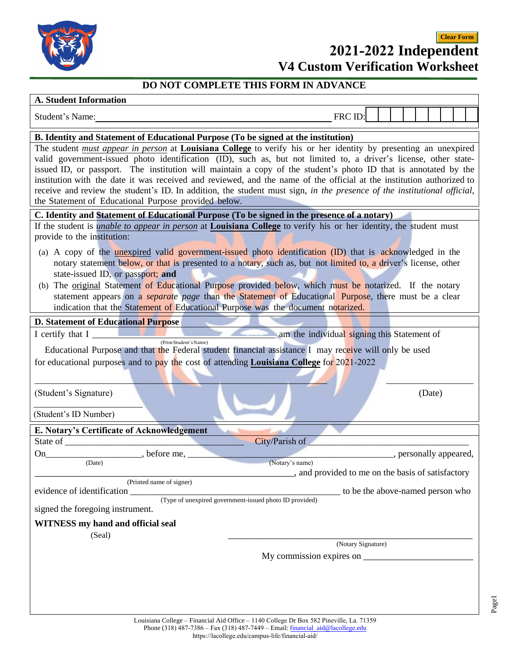

# **2021-2022 Independent Clear Form**

|  | <b>V4 Custom Verification Worksheet</b> |  |
|--|-----------------------------------------|--|
|--|-----------------------------------------|--|

## **DO NOT COMPLETE THIS FORM IN ADVANCE**

#### **A. Student Information**

| A. Student Information                                                                                                                                                                                                                                                                                                                                                                                                                                                                                                                                                                                                                                                                                                                                      |                                                 |  |        |                        |
|-------------------------------------------------------------------------------------------------------------------------------------------------------------------------------------------------------------------------------------------------------------------------------------------------------------------------------------------------------------------------------------------------------------------------------------------------------------------------------------------------------------------------------------------------------------------------------------------------------------------------------------------------------------------------------------------------------------------------------------------------------------|-------------------------------------------------|--|--------|------------------------|
| Student's Name:                                                                                                                                                                                                                                                                                                                                                                                                                                                                                                                                                                                                                                                                                                                                             | FRC ID:                                         |  |        |                        |
| B. Identity and Statement of Educational Purpose (To be signed at the institution)                                                                                                                                                                                                                                                                                                                                                                                                                                                                                                                                                                                                                                                                          |                                                 |  |        |                        |
| The student must appear in person at Louisiana College to verify his or her identity by presenting an unexpired<br>valid government-issued photo identification (ID), such as, but not limited to, a driver's license, other state-<br>issued ID, or passport. The institution will maintain a copy of the student's photo ID that is annotated by the<br>institution with the date it was received and reviewed, and the name of the official at the institution authorized to<br>receive and review the student's ID. In addition, the student must sign, in the presence of the institutional official,<br>the Statement of Educational Purpose provided below.                                                                                          |                                                 |  |        |                        |
| C. Identity and Statement of Educational Purpose (To be signed in the presence of a notary)                                                                                                                                                                                                                                                                                                                                                                                                                                                                                                                                                                                                                                                                 |                                                 |  |        |                        |
| If the student is <i>unable to appear in person</i> at <b>Louisiana College</b> to verify his or her identity, the student must<br>provide to the institution:<br>(a) A copy of the <u>unexpired</u> valid government-issued photo identification (ID) that is acknowledged in the<br>notary statement below, or that is presented to a notary, such as, but not limited to, a driver's license, other<br>state-issued ID, or passport; and<br>(b) The original Statement of Educational Purpose provided below, which must be notarized. If the notary<br>statement appears on a <i>separate</i> page than the Statement of Educational Purpose, there must be a clear<br>indication that the Statement of Educational Purpose was the document notarized. |                                                 |  |        |                        |
| <b>D. Statement of Educational Purpose</b>                                                                                                                                                                                                                                                                                                                                                                                                                                                                                                                                                                                                                                                                                                                  |                                                 |  |        |                        |
| I certify that I                                                                                                                                                                                                                                                                                                                                                                                                                                                                                                                                                                                                                                                                                                                                            | am the individual signing this Statement of     |  |        |                        |
| (Print Student's Name)<br>Educational Purpose and that the Federal student financial assistance I may receive will only be used<br>for educational purposes and to pay the cost of attending <b>Louisiana College</b> for $2021-2022$<br>(Student's Signature)                                                                                                                                                                                                                                                                                                                                                                                                                                                                                              |                                                 |  | (Date) |                        |
| (Student's ID Number)                                                                                                                                                                                                                                                                                                                                                                                                                                                                                                                                                                                                                                                                                                                                       |                                                 |  |        |                        |
| E. Notary's Certificate of Acknowledgement                                                                                                                                                                                                                                                                                                                                                                                                                                                                                                                                                                                                                                                                                                                  |                                                 |  |        |                        |
| State of<br>City/Parish of                                                                                                                                                                                                                                                                                                                                                                                                                                                                                                                                                                                                                                                                                                                                  |                                                 |  |        |                        |
| before me,<br>On<br>(Date)<br>(Notary's name)                                                                                                                                                                                                                                                                                                                                                                                                                                                                                                                                                                                                                                                                                                               | and provided to me on the basis of satisfactory |  |        | , personally appeared, |
| (Printed name of signer)                                                                                                                                                                                                                                                                                                                                                                                                                                                                                                                                                                                                                                                                                                                                    |                                                 |  |        |                        |
| evidence of identification<br>(Type of unexpired government-issued photo ID provided)                                                                                                                                                                                                                                                                                                                                                                                                                                                                                                                                                                                                                                                                       | to be the above-named person who                |  |        |                        |
| signed the foregoing instrument.                                                                                                                                                                                                                                                                                                                                                                                                                                                                                                                                                                                                                                                                                                                            |                                                 |  |        |                        |
| <b>WITNESS</b> my hand and official seal<br>(Seal)                                                                                                                                                                                                                                                                                                                                                                                                                                                                                                                                                                                                                                                                                                          |                                                 |  |        |                        |
|                                                                                                                                                                                                                                                                                                                                                                                                                                                                                                                                                                                                                                                                                                                                                             | (Notary Signature)                              |  |        |                        |
|                                                                                                                                                                                                                                                                                                                                                                                                                                                                                                                                                                                                                                                                                                                                                             |                                                 |  |        |                        |
|                                                                                                                                                                                                                                                                                                                                                                                                                                                                                                                                                                                                                                                                                                                                                             |                                                 |  |        |                        |